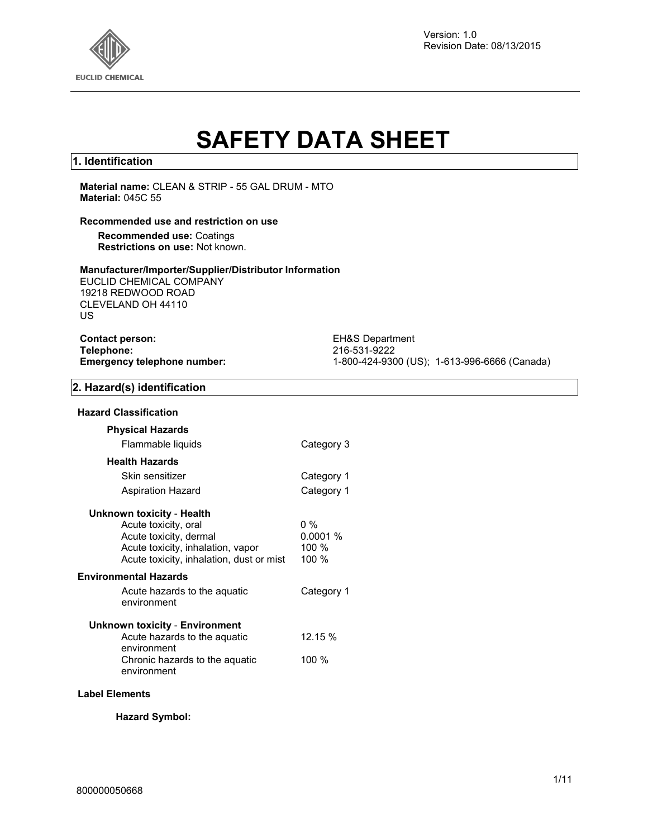

Version: 1.0 Revision Date: 08/13/2015

# **SAFETY DATA SHEET**

#### **1. Identification**

**Material name:** CLEAN & STRIP - 55 GAL DRUM - MTO **Material:** 045C 55

#### **Recommended use and restriction on use**

**Recommended use:** Coatings **Restrictions on use:** Not known.

#### **Manufacturer/Importer/Supplier/Distributor Information**

EUCLID CHEMICAL COMPANY 19218 REDWOOD ROAD CLEVELAND OH 44110 US

| <b>Contact person:</b>             |  |
|------------------------------------|--|
| Telephone:                         |  |
| <b>Emergency telephone number:</b> |  |

**EH&S Department Telephone:** 216-531-9222 **Emergency telephone number:** 1-800-424-9300 (US); 1-613-996-6666 (Canada)

#### **2. Hazard(s) identification**

| <b>Physical Hazards</b>                                                                                                                                      |                                    |
|--------------------------------------------------------------------------------------------------------------------------------------------------------------|------------------------------------|
| Flammable liquids                                                                                                                                            | Category 3                         |
| <b>Health Hazards</b>                                                                                                                                        |                                    |
| Skin sensitizer                                                                                                                                              | Category 1                         |
| Aspiration Hazard                                                                                                                                            | Category 1                         |
| Unknown toxicity - Health<br>Acute toxicity, oral<br>Acute toxicity, dermal<br>Acute toxicity, inhalation, vapor<br>Acute toxicity, inhalation, dust or mist | $0\%$<br>0.0001%<br>100 %<br>100 % |
| Environmental Hazards                                                                                                                                        |                                    |
| Acute hazards to the aquatic<br>environment                                                                                                                  | Category 1                         |
| Unknown toxicity - Environment<br>Acute hazards to the aquatic<br>environment                                                                                | 12.15 %                            |
| Chronic hazards to the aquatic<br>environment                                                                                                                | 100 %                              |

#### **Label Elements**

**Hazard Symbol:**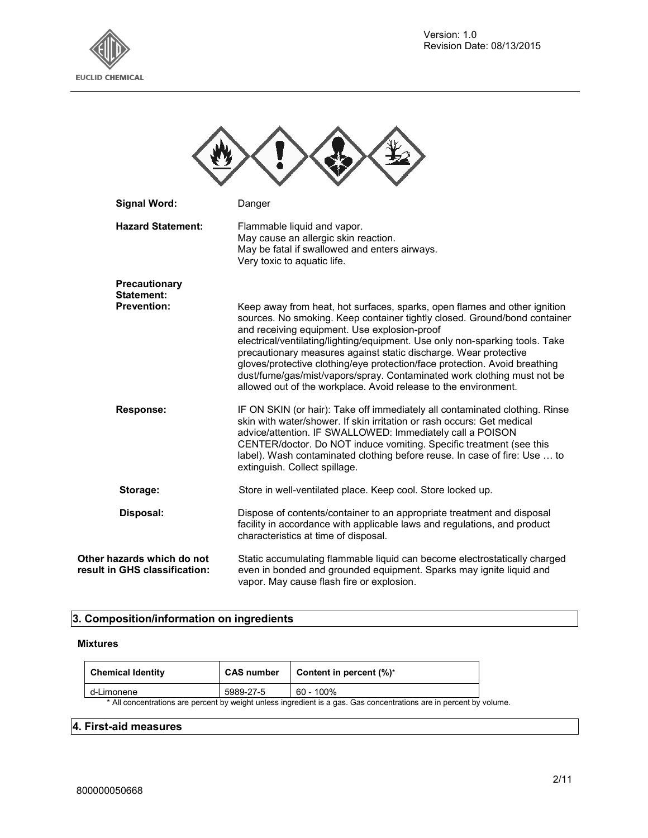

| <b>Signal Word:</b>                                         | Danger                                                                                                                                                                                                                                                                                                                                                                                                                                                                                                                                                                                 |
|-------------------------------------------------------------|----------------------------------------------------------------------------------------------------------------------------------------------------------------------------------------------------------------------------------------------------------------------------------------------------------------------------------------------------------------------------------------------------------------------------------------------------------------------------------------------------------------------------------------------------------------------------------------|
| <b>Hazard Statement:</b>                                    | Flammable liquid and vapor.<br>May cause an allergic skin reaction.<br>May be fatal if swallowed and enters airways.<br>Very toxic to aquatic life.                                                                                                                                                                                                                                                                                                                                                                                                                                    |
| Precautionary<br>Statement:<br><b>Prevention:</b>           | Keep away from heat, hot surfaces, sparks, open flames and other ignition<br>sources. No smoking. Keep container tightly closed. Ground/bond container<br>and receiving equipment. Use explosion-proof<br>electrical/ventilating/lighting/equipment. Use only non-sparking tools. Take<br>precautionary measures against static discharge. Wear protective<br>gloves/protective clothing/eye protection/face protection. Avoid breathing<br>dust/fume/gas/mist/vapors/spray. Contaminated work clothing must not be<br>allowed out of the workplace. Avoid release to the environment. |
| <b>Response:</b>                                            | IF ON SKIN (or hair): Take off immediately all contaminated clothing. Rinse<br>skin with water/shower. If skin irritation or rash occurs: Get medical<br>advice/attention. IF SWALLOWED: Immediately call a POISON<br>CENTER/doctor. Do NOT induce vomiting. Specific treatment (see this<br>label). Wash contaminated clothing before reuse. In case of fire: Use  to<br>extinguish. Collect spillage.                                                                                                                                                                                |
| Storage:                                                    | Store in well-ventilated place. Keep cool. Store locked up.                                                                                                                                                                                                                                                                                                                                                                                                                                                                                                                            |
| Disposal:                                                   | Dispose of contents/container to an appropriate treatment and disposal<br>facility in accordance with applicable laws and regulations, and product<br>characteristics at time of disposal.                                                                                                                                                                                                                                                                                                                                                                                             |
| Other hazards which do not<br>result in GHS classification: | Static accumulating flammable liquid can become electrostatically charged<br>even in bonded and grounded equipment. Sparks may ignite liquid and<br>vapor. May cause flash fire or explosion.                                                                                                                                                                                                                                                                                                                                                                                          |

## **3. Composition/information on ingredients**

#### **Mixtures**

| <b>Chemical Identity</b> | <b>CAS number</b> | Content in percent (%)*                                                                                             |  |
|--------------------------|-------------------|---------------------------------------------------------------------------------------------------------------------|--|
| d-Limonene               | 5989-27-5         | 60 - 100%                                                                                                           |  |
|                          |                   | * All concentrations are percent by weight unless ingredient is a gas. Gas concentrations are in percent by volume. |  |

### **4. First-aid measures**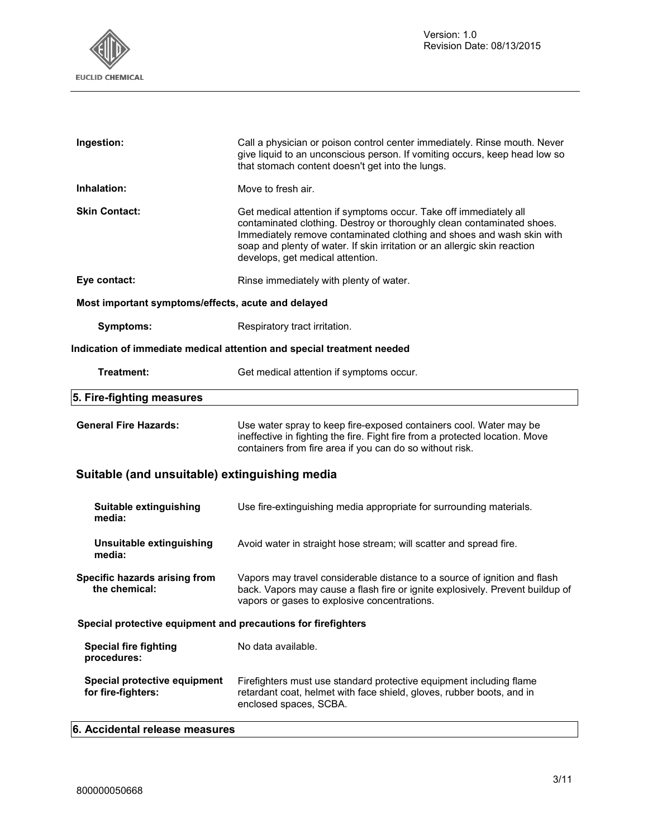

| Ingestion:                                                    | Call a physician or poison control center immediately. Rinse mouth. Never<br>give liquid to an unconscious person. If vomiting occurs, keep head low so<br>that stomach content doesn't get into the lungs.                                                                                                                           |
|---------------------------------------------------------------|---------------------------------------------------------------------------------------------------------------------------------------------------------------------------------------------------------------------------------------------------------------------------------------------------------------------------------------|
| Inhalation:                                                   | Move to fresh air.                                                                                                                                                                                                                                                                                                                    |
| <b>Skin Contact:</b>                                          | Get medical attention if symptoms occur. Take off immediately all<br>contaminated clothing. Destroy or thoroughly clean contaminated shoes.<br>Immediately remove contaminated clothing and shoes and wash skin with<br>soap and plenty of water. If skin irritation or an allergic skin reaction<br>develops, get medical attention. |
| Eye contact:                                                  | Rinse immediately with plenty of water.                                                                                                                                                                                                                                                                                               |
| Most important symptoms/effects, acute and delayed            |                                                                                                                                                                                                                                                                                                                                       |
| <b>Symptoms:</b>                                              | Respiratory tract irritation.                                                                                                                                                                                                                                                                                                         |
|                                                               | Indication of immediate medical attention and special treatment needed                                                                                                                                                                                                                                                                |
| Treatment:                                                    | Get medical attention if symptoms occur.                                                                                                                                                                                                                                                                                              |
| 5. Fire-fighting measures                                     |                                                                                                                                                                                                                                                                                                                                       |
| <b>General Fire Hazards:</b>                                  | Use water spray to keep fire-exposed containers cool. Water may be<br>ineffective in fighting the fire. Fight fire from a protected location. Move<br>containers from fire area if you can do so without risk.                                                                                                                        |
| Suitable (and unsuitable) extinguishing media                 |                                                                                                                                                                                                                                                                                                                                       |
| Suitable extinguishing<br>media:                              | Use fire-extinguishing media appropriate for surrounding materials.                                                                                                                                                                                                                                                                   |
| Unsuitable extinguishing<br>media:                            | Avoid water in straight hose stream; will scatter and spread fire.                                                                                                                                                                                                                                                                    |
| Specific hazards arising from<br>the chemical:                | Vapors may travel considerable distance to a source of ignition and flash<br>back. Vapors may cause a flash fire or ignite explosively. Prevent buildup of<br>vapors or gases to explosive concentrations.                                                                                                                            |
| Special protective equipment and precautions for firefighters |                                                                                                                                                                                                                                                                                                                                       |
| <b>Special fire fighting</b><br>procedures:                   | No data available.                                                                                                                                                                                                                                                                                                                    |
| Special protective equipment<br>for fire-fighters:            | Firefighters must use standard protective equipment including flame<br>retardant coat, helmet with face shield, gloves, rubber boots, and in<br>enclosed spaces, SCBA.                                                                                                                                                                |

**6. Accidental release measures**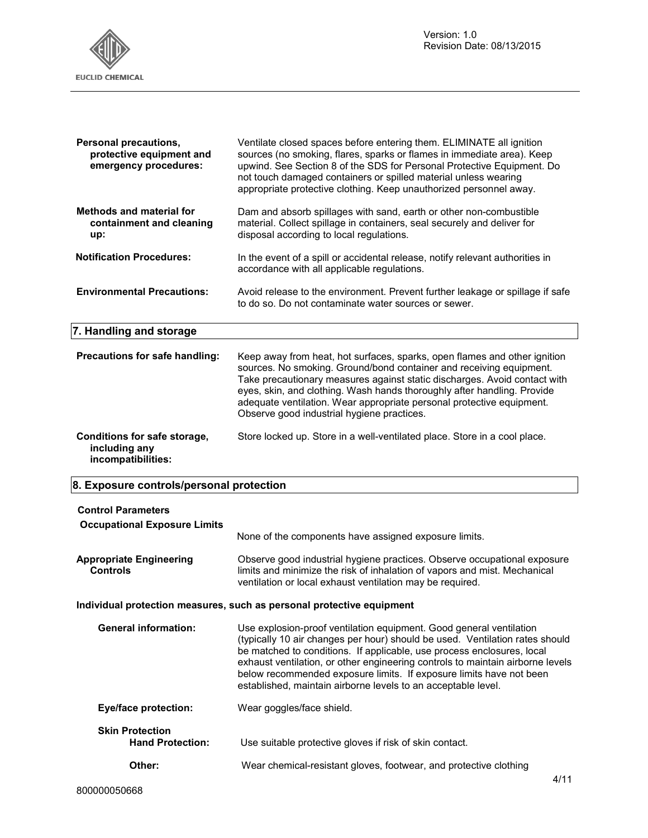

## **8. Exposure controls/personal protection**

| <b>Control Parameters</b><br><b>Occupational Exposure Limits</b> |                                                                                                                                                                                                                                                                                                                                                                                                                                                         |
|------------------------------------------------------------------|---------------------------------------------------------------------------------------------------------------------------------------------------------------------------------------------------------------------------------------------------------------------------------------------------------------------------------------------------------------------------------------------------------------------------------------------------------|
|                                                                  | None of the components have assigned exposure limits.                                                                                                                                                                                                                                                                                                                                                                                                   |
| <b>Appropriate Engineering</b><br><b>Controls</b>                | Observe good industrial hygiene practices. Observe occupational exposure<br>limits and minimize the risk of inhalation of vapors and mist. Mechanical<br>ventilation or local exhaust ventilation may be required.                                                                                                                                                                                                                                      |
|                                                                  | Individual protection measures, such as personal protective equipment                                                                                                                                                                                                                                                                                                                                                                                   |
| <b>General information:</b>                                      | Use explosion-proof ventilation equipment. Good general ventilation<br>(typically 10 air changes per hour) should be used. Ventilation rates should<br>be matched to conditions. If applicable, use process enclosures, local<br>exhaust ventilation, or other engineering controls to maintain airborne levels<br>below recommended exposure limits. If exposure limits have not been<br>established, maintain airborne levels to an acceptable level. |
| <b>Eye/face protection:</b>                                      | Wear goggles/face shield.                                                                                                                                                                                                                                                                                                                                                                                                                               |
| <b>Skin Protection</b><br><b>Hand Protection:</b>                | Use suitable protective gloves if risk of skin contact.                                                                                                                                                                                                                                                                                                                                                                                                 |
| Other:                                                           | Wear chemical-resistant gloves, footwear, and protective clothing                                                                                                                                                                                                                                                                                                                                                                                       |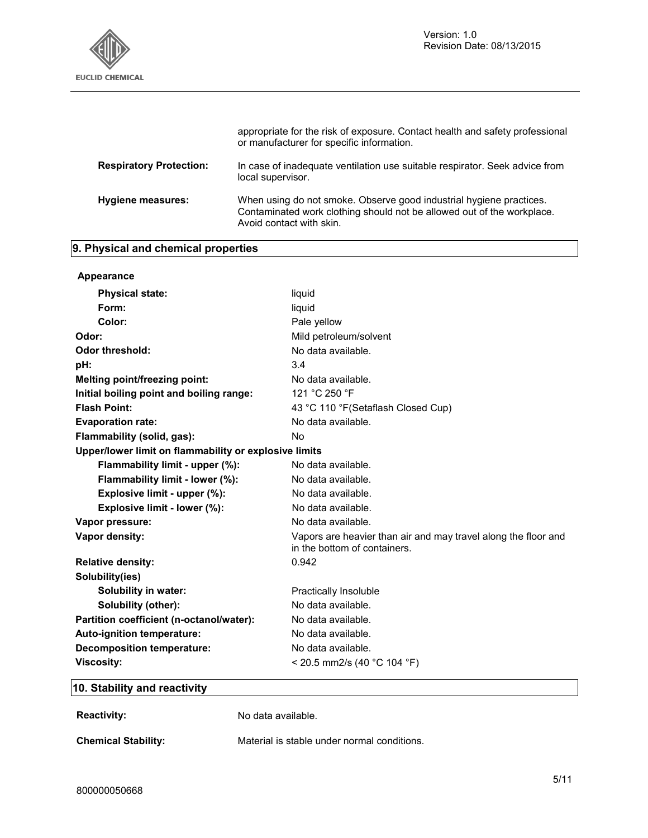

|                                | appropriate for the risk of exposure. Contact health and safety professional<br>or manufacturer for specific information.                                                 |
|--------------------------------|---------------------------------------------------------------------------------------------------------------------------------------------------------------------------|
| <b>Respiratory Protection:</b> | In case of inadequate ventilation use suitable respirator. Seek advice from<br>local supervisor.                                                                          |
| <b>Hygiene measures:</b>       | When using do not smoke. Observe good industrial hygiene practices.<br>Contaminated work clothing should not be allowed out of the workplace.<br>Avoid contact with skin. |

## **9. Physical and chemical properties**

| Appearance                                            |                                                                                                |
|-------------------------------------------------------|------------------------------------------------------------------------------------------------|
| <b>Physical state:</b>                                | liquid                                                                                         |
| Form:                                                 | liquid                                                                                         |
| Color:                                                | Pale yellow                                                                                    |
| Odor:                                                 | Mild petroleum/solvent                                                                         |
| Odor threshold:                                       | No data available.                                                                             |
| pH:                                                   | 3.4                                                                                            |
| Melting point/freezing point:                         | No data available.                                                                             |
| Initial boiling point and boiling range:              | 121 °C 250 °F                                                                                  |
| <b>Flash Point:</b>                                   | 43 °C 110 °F (Setaflash Closed Cup)                                                            |
| <b>Evaporation rate:</b>                              | No data available.                                                                             |
| Flammability (solid, gas):                            | No                                                                                             |
| Upper/lower limit on flammability or explosive limits |                                                                                                |
| Flammability limit - upper (%):                       | No data available.                                                                             |
| Flammability limit - lower (%):                       | No data available.                                                                             |
| Explosive limit - upper (%):                          | No data available.                                                                             |
| Explosive limit - lower (%):                          | No data available.                                                                             |
| Vapor pressure:                                       | No data available.                                                                             |
| Vapor density:                                        | Vapors are heavier than air and may travel along the floor and<br>in the bottom of containers. |
| <b>Relative density:</b>                              | 0.942                                                                                          |
| Solubility(ies)                                       |                                                                                                |
| <b>Solubility in water:</b>                           | Practically Insoluble                                                                          |
| Solubility (other):                                   | No data available.                                                                             |
| Partition coefficient (n-octanol/water):              | No data available.                                                                             |
| Auto-ignition temperature:                            | No data available.                                                                             |
| <b>Decomposition temperature:</b>                     | No data available.                                                                             |
| <b>Viscosity:</b>                                     | < 20.5 mm2/s (40 °C 104 °F)                                                                    |

## **10. Stability and reactivity**

**Reactivity:** No data available.

**Chemical Stability:** Material is stable under normal conditions.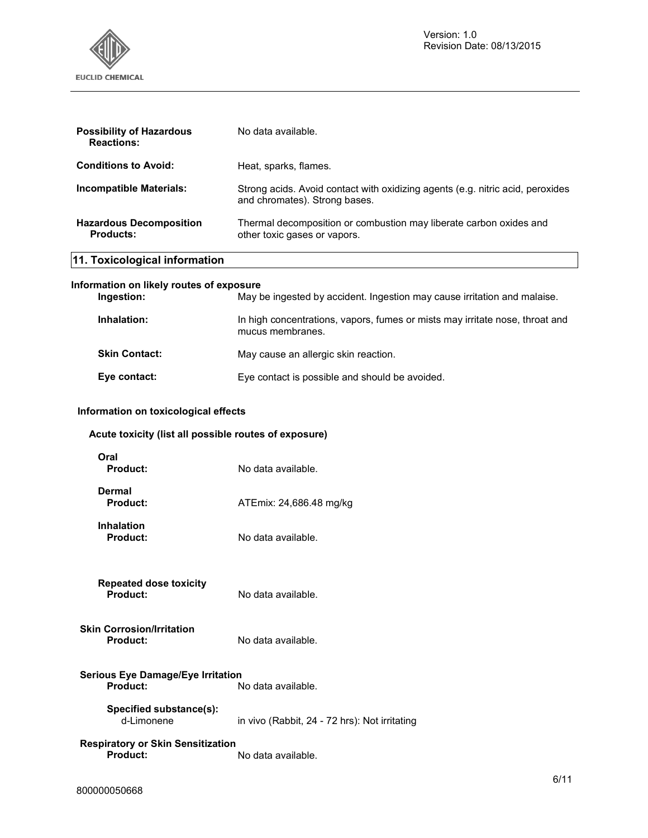

| <b>Possibility of Hazardous</b><br><b>Reactions:</b>   | No data available.                                                                                              |
|--------------------------------------------------------|-----------------------------------------------------------------------------------------------------------------|
| <b>Conditions to Avoid:</b>                            | Heat, sparks, flames.                                                                                           |
| <b>Incompatible Materials:</b>                         | Strong acids. Avoid contact with oxidizing agents (e.g. nitric acid, peroxides<br>and chromates). Strong bases. |
| <b>Hazardous Decomposition</b><br><b>Products:</b>     | Thermal decomposition or combustion may liberate carbon oxides and<br>other toxic gases or vapors.              |
| 11. Toxicological information                          |                                                                                                                 |
| Information on likely routes of exposure<br>Ingestion: | May be ingested by accident. Ingestion may cause irritation and malaise.                                        |
| Inhalation:                                            | In high concentrations, vapors, fumes or mists may irritate nose, throat and<br>mucus membranes.                |
| <b>Skin Contact:</b>                                   | May cause an allergic skin reaction.                                                                            |
| Eye contact:                                           | Eye contact is possible and should be avoided.                                                                  |
| la forma etter er en toaleel en level eel effecte      |                                                                                                                 |

## **Information on toxicological effects**

## **Acute toxicity (list all possible routes of exposure)**

| Oral<br><b>Product:</b>                                     | No data available.                            |
|-------------------------------------------------------------|-----------------------------------------------|
| Dermal<br>Product:                                          | ATEmix: 24,686.48 mg/kg                       |
| <b>Inhalation</b><br>Product:                               | No data available.                            |
| <b>Repeated dose toxicity</b><br>Product:                   | No data available.                            |
| Skin Corrosion/Irritation<br><b>Product:</b>                | No data available.                            |
| Serious Eye Damage/Eye Irritation<br>Product:               | No data available.                            |
| Specified substance(s):<br>d-I imonene                      | in vivo (Rabbit, 24 - 72 hrs): Not irritating |
| <b>Respiratory or Skin Sensitization</b><br><b>Product:</b> | No data available.                            |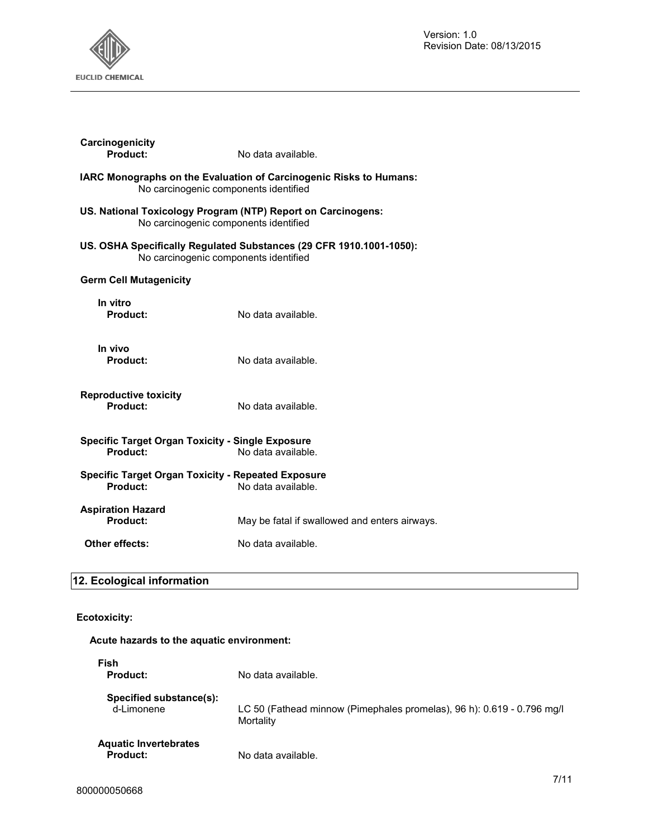

| Carcinogenicity<br>Product:                                                                           | No data available.                                                        |
|-------------------------------------------------------------------------------------------------------|---------------------------------------------------------------------------|
| No carcinogenic components identified                                                                 | <b>IARC Monographs on the Evaluation of Carcinogenic Risks to Humans:</b> |
| US. National Toxicology Program (NTP) Report on Carcinogens:<br>No carcinogenic components identified |                                                                           |
| No carcinogenic components identified                                                                 | US. OSHA Specifically Regulated Substances (29 CFR 1910.1001-1050):       |
| <b>Germ Cell Mutagenicity</b>                                                                         |                                                                           |
| In vitro<br>Product:                                                                                  | No data available.                                                        |
| In vivo<br>Product:                                                                                   | No data available.                                                        |
| <b>Reproductive toxicity</b><br>Product:                                                              | No data available.                                                        |
| <b>Specific Target Organ Toxicity - Single Exposure</b><br>Product:                                   | No data available.                                                        |
| <b>Specific Target Organ Toxicity - Repeated Exposure</b><br>Product:                                 | No data available.                                                        |
| <b>Aspiration Hazard</b><br>Product:                                                                  | May be fatal if swallowed and enters airways.                             |
| Other effects:                                                                                        | No data available.                                                        |

## **12. Ecological information**

#### **Ecotoxicity:**

### **Acute hazards to the aquatic environment:**

| Fish<br><b>Product:</b>                         | No data available.                                                                  |
|-------------------------------------------------|-------------------------------------------------------------------------------------|
| Specified substance(s):<br>d-Limonene           | LC 50 (Fathead minnow (Pimephales promelas), 96 h): 0.619 - 0.796 mg/l<br>Mortality |
| <b>Aquatic Invertebrates</b><br><b>Product:</b> | No data available.                                                                  |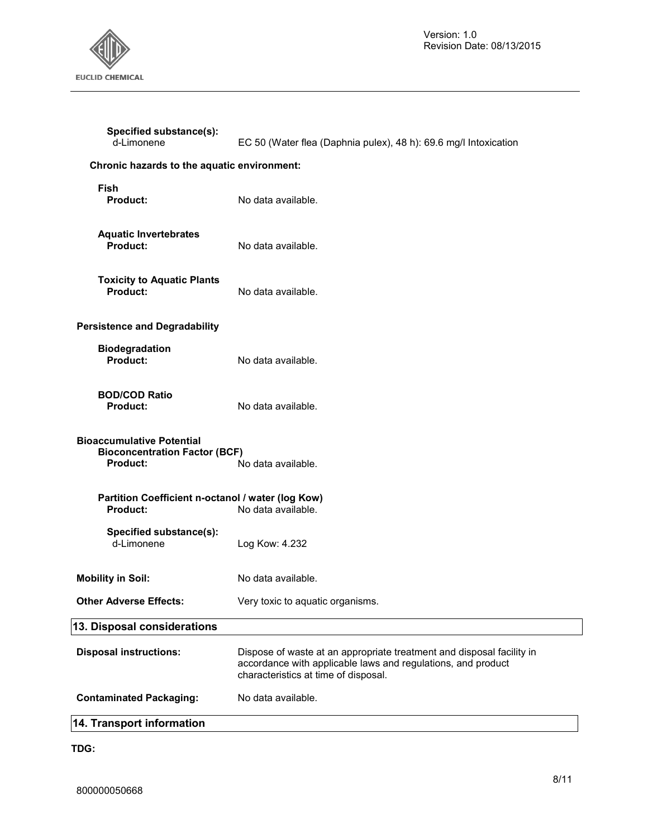

| 14. Transport information                                                                   |                                                                                                                                                                               |
|---------------------------------------------------------------------------------------------|-------------------------------------------------------------------------------------------------------------------------------------------------------------------------------|
| <b>Contaminated Packaging:</b>                                                              | No data available.                                                                                                                                                            |
| <b>Disposal instructions:</b>                                                               | Dispose of waste at an appropriate treatment and disposal facility in<br>accordance with applicable laws and regulations, and product<br>characteristics at time of disposal. |
| 13. Disposal considerations                                                                 |                                                                                                                                                                               |
| <b>Other Adverse Effects:</b>                                                               | Very toxic to aquatic organisms.                                                                                                                                              |
| <b>Mobility in Soil:</b>                                                                    | No data available.                                                                                                                                                            |
| Specified substance(s):<br>d-Limonene                                                       | Log Kow: 4.232                                                                                                                                                                |
| Partition Coefficient n-octanol / water (log Kow)<br><b>Product:</b>                        | No data available.                                                                                                                                                            |
| <b>Bioaccumulative Potential</b><br><b>Bioconcentration Factor (BCF)</b><br><b>Product:</b> | No data available.                                                                                                                                                            |
| <b>BOD/COD Ratio</b><br><b>Product:</b>                                                     | No data available.                                                                                                                                                            |
| <b>Biodegradation</b><br>Product:                                                           | No data available.                                                                                                                                                            |
| <b>Persistence and Degradability</b>                                                        |                                                                                                                                                                               |
| <b>Toxicity to Aquatic Plants</b><br><b>Product:</b>                                        | No data available.                                                                                                                                                            |
| <b>Aquatic Invertebrates</b><br><b>Product:</b>                                             | No data available.                                                                                                                                                            |
| <b>Fish</b><br>Product:                                                                     | No data available.                                                                                                                                                            |
| Chronic hazards to the aquatic environment:                                                 |                                                                                                                                                                               |
| Specified substance(s):<br>d-Limonene                                                       | EC 50 (Water flea (Daphnia pulex), 48 h): 69.6 mg/l Intoxication                                                                                                              |

**TDG:**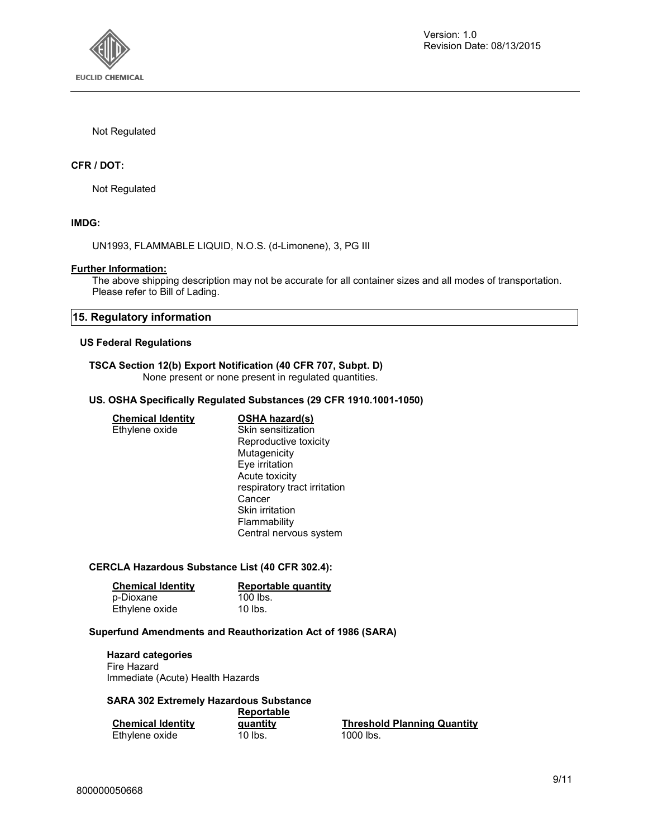

#### Not Regulated

#### **CFR / DOT:**

Not Regulated

#### **IMDG:**

UN1993, FLAMMABLE LIQUID, N.O.S. (d-Limonene), 3, PG III

#### **Further Information:**

The above shipping description may not be accurate for all container sizes and all modes of transportation. Please refer to Bill of Lading.

#### **15. Regulatory information**

#### **US Federal Regulations**

#### **TSCA Section 12(b) Export Notification (40 CFR 707, Subpt. D)**  None present or none present in regulated quantities.

#### **US. OSHA Specifically Regulated Substances (29 CFR 1910.1001-1050)**

#### **Chemical Identity OSHA hazard(s)**

Ethylene oxide Skin sensitization Reproductive toxicity Mutagenicity Eye irritation Acute toxicity respiratory tract irritation Cancer Skin irritation Flammability Central nervous system

#### **CERCLA Hazardous Substance List (40 CFR 302.4):**

| <b>Chemical Identity</b> | Reportable quantity |
|--------------------------|---------------------|
| p-Dioxane                | 100 lbs.            |
| Ethylene oxide           | $10$ lbs.           |

#### **Superfund Amendments and Reauthorization Act of 1986 (SARA)**

#### **Hazard categories**

Fire Hazard Immediate (Acute) Health Hazards

#### **SARA 302 Extremely Hazardous Substance Reportable**

|                          | <b>REPORTADIE</b> |                           |
|--------------------------|-------------------|---------------------------|
| <b>Chemical Identity</b> | quantity          | <b>Threshold Planning</b> |
| Ethylene oxide           | 10 lbs.           | 1000 lbs.                 |

**Quantity**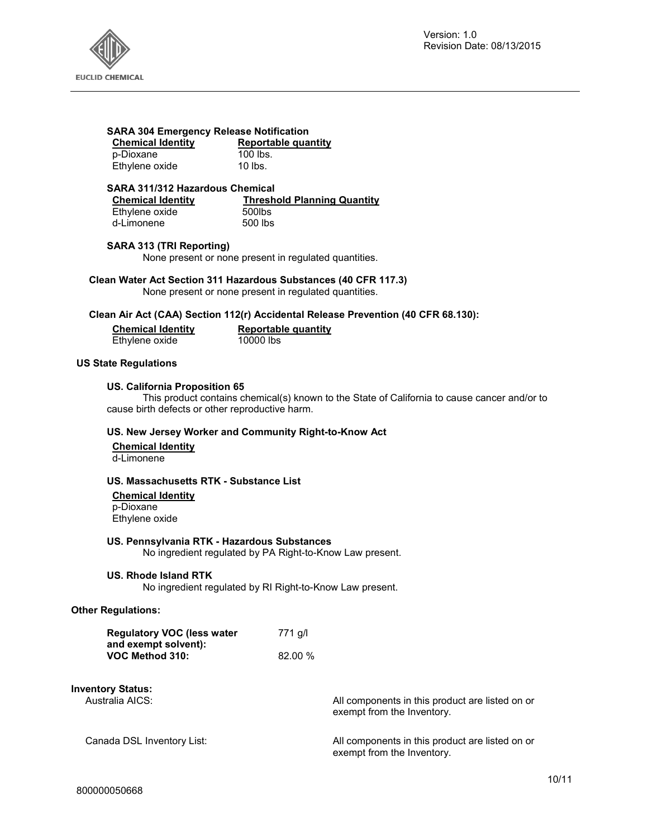

## **SARA 304 Emergency Release Notification**

p-Dioxane 100 lbs.<br>
Pthylene oxide 10 lbs. Ethylene oxide

**Reportable quantity 100 lbs.** 

#### **SARA 311/312 Hazardous Chemical**

Ethylene oxide 500lbs<br>d-Limonene 500 lbs d-Limonene

**Chemical Identity**<br> **Chemical Identity**<br> **Channifold Blanning Quantity**<br> **Channifold Blanning Quantity** 

#### **SARA 313 (TRI Reporting)**

None present or none present in regulated quantities.

**Clean Water Act Section 311 Hazardous Substances (40 CFR 117.3)**  None present or none present in regulated quantities.

#### **Clean Air Act (CAA) Section 112(r) Accidental Release Prevention (40 CFR 68.130):**

| <b>Chemical Identity</b> | <b>Reportable quantity</b> |
|--------------------------|----------------------------|
| Ethylene oxide           | 10000 lbs                  |

#### **US State Regulations**

#### **US. California Proposition 65**

This product contains chemical(s) known to the State of California to cause cancer and/or to cause birth defects or other reproductive harm.

#### **US. New Jersey Worker and Community Right-to-Know Act**

**Chemical Identity** d-Limonene

#### **US. Massachusetts RTK - Substance List**

**Chemical Identity** p-Dioxane Ethylene oxide

#### **US. Pennsylvania RTK - Hazardous Substances**

No ingredient regulated by PA Right-to-Know Law present.

#### **US. Rhode Island RTK**

No ingredient regulated by RI Right-to-Know Law present.

#### **Other Regulations:**

| <b>Regulatory VOC (less water</b> | 771 g/l |
|-----------------------------------|---------|
| and exempt solvent):              |         |
| VOC Method 310:                   | 82.00%  |

## **Inventory Status:**

All components in this product are listed on or exempt from the Inventory.

Canada DSL Inventory List: All components in this product are listed on or exempt from the Inventory.